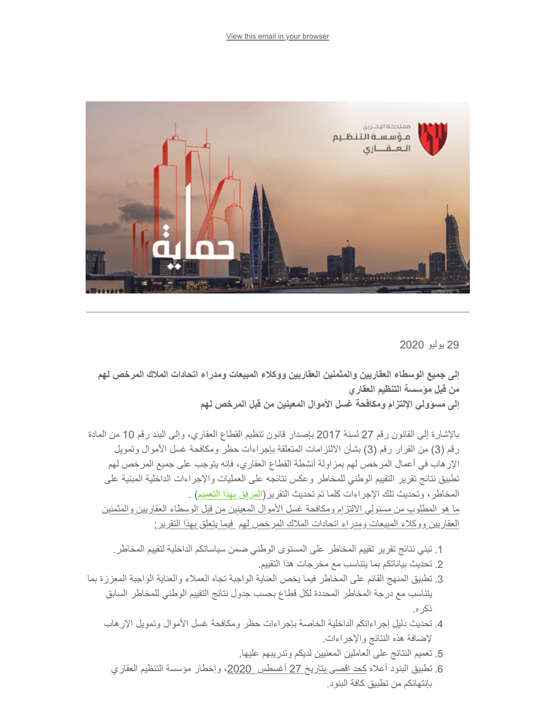

29 یولیو 2020

**إلى جمیع الوسطاء العقاریین والمثمنین العقاریین ووكلاء المبیعات ومدراء اتحادات الملاك المرخص لھم من قبل مؤسسة التنظیم العقاري إلى مسؤولي الإلتزام ومكافحة غسل الأموال المعینین من قبل المرخص لھم** 

بالإشارة إلى القانون رقم 27 لسنة 2017 بإصدار قانون تنظیم القطاع العقاري، وإلى البند رقم 10 من المادة رقم (3) من القرار رقم (3) بشأن الالتزامات المتعلقة بإجراءات حظر ومكافحة غسل الأموال وتمویل الإرھاب في أعمال المرخص لھم بمزاولة أنشطة القطاع العقاري، فإنھ یتوجب على جمیع المرخص لھم تطبیق نتائج تقریر التقییم الوطني للمخاطر وعكس نتائجھ على العملیات والإجراءات الداخلیة المبنیة على المخاطر، وتحدیث تلك الإجراءات كلما تم تحدیث التقریر([المرفق بھذا التعمیم](https://www.rera.gov.bh/Media/downloads/mailchimp/National%20Risk%20Assessmsnt-RERA-290720-Brokers-valuers-OAM-SA.pdf)) .

ما ھو المطلوب من مسئولي الالتزام ومكافحة غسل الأموال المعینین من قبل الوسطاء العقاریین والمثمنین العقاریین ووكلاء المبیعات ومدراء اتحادات الملاك المرخص لھم فیما یتعلق بھذا التقریر:

- .1 تبني نتائج تقریر تقییم المخاطر على المستوى الوطني ضمن سیاساتكم الداخلیة لتقییم المخاطر.
	- .2 تحدیث بیاناتكم بما یتناسب مع مخرجات ھذا التقییم.
- .3 تطبیق المنھج القائم على المخاطر فیما یخص العنایة الواجبة تجاه العملاء والعنایة الواجبة المعززة بما یتناسب مع درجة المخاطر المحددة لكل قطاع بحسب جدول نتائج التقییم الوطني للمخاطر السابق ذكره.
	- .4 تحدیث دلیل إجراءاتكم الداخلیة الخاصة بإجراءات حظر ومكافحة غسل الأموال وتمویل الإرھاب لإضافة ھذه النتائج والإجراءات.
		- .5 تعمیم النتائج على العاملین المعنیین لدیكم وتدریبھم علیھا.
		- .6 تطبیق البنود أعلاه كحد اقصى بتاریخ 27 أغسطس ،2020 وإخطار مؤسسة التنظیم العقاري بإنتھائكم من تطبیق كافة البنود.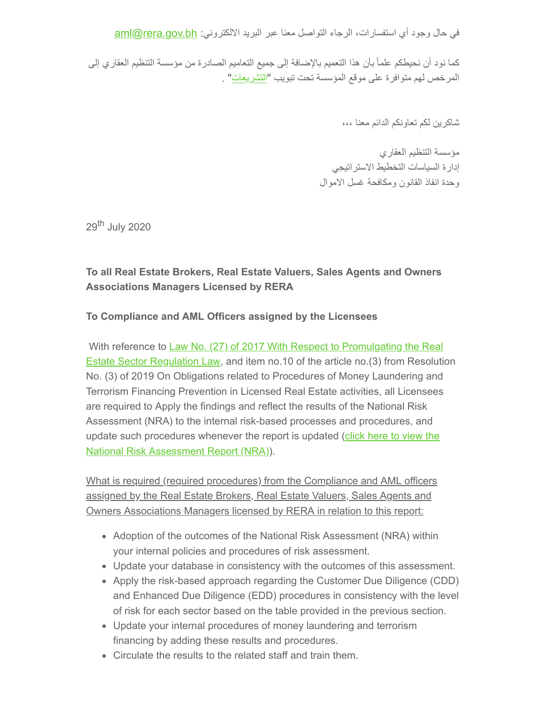في حال وجود أي استفسارات، الرجاء التواصل معنا عبر البريد الالكتروني: <u>aml@rera.gov.bh</u>

كما نود أن نحیطكم علماً بأن ھذا التعمیم بالإضافة إلى جمیع التعامیم الصادرة من مؤسسة التنظیم العقاري إلى المرخص لھم متوافرة على موقع المؤسسة تحت تبویب ["التشریعات](https://rera.us18.list-manage.com/track/click?u=19ee4dd5d83746dcf3a98ff0f&id=cebac5d586&e=634a2e9629)" .

شاكرین لكم تعاونكم الدائم معنا ،،،

مؤسسة التنظیم العقاري إدارة السیاسات التخطیط الاستراتیجي وحدة انفاذ القانون ومكافحة غسل الاموال

29<sup>th</sup> July 2020

## **To all Real Estate Brokers, Real Estate Valuers, Sales Agents and Owners Associations Managers Licensed by RERA**

## **To Compliance and AML Officers assigned by the Licensees**

With reference to Law No. (27) of 2017 With Respect to Promulgating the Real **[Estate Sector Regulation Law, and item no.10 of the article no.\(3\) from Resoluti](https://www.rera.gov.bh/Media/downloads/laws/LAW_L27_(2017)_Real_Estate_Regulation.pdf)on** No. (3) of 2019 On Obligations related to Procedures of Money Laundering and Terrorism Financing Prevention in Licensed Real Estate activities, all Licensees are required to Apply the findings and reflect the results of the National Risk Assessment (NRA) to the internal risk-based processes and procedures, and [update such procedures whenever the report is updated \(click here to view the](https://www.rera.gov.bh/Media/downloads/mailchimp/National%20Risk%20Assessmsnt-RERA-290720-Brokers-valuers-OAM-SA.pdf) National Risk Assessment Report (NRA)).

What is required (required procedures) from the Compliance and AML officers assigned by the Real Estate Brokers, Real Estate Valuers, Sales Agents and Owners Associations Managers licensed by RERA in relation to this report:

- Adoption of the outcomes of the National Risk Assessment (NRA) within your internal policies and procedures of risk assessment.
- Update your database in consistency with the outcomes of this assessment.
- Apply the risk-based approach regarding the Customer Due Diligence (CDD) and Enhanced Due Diligence (EDD) procedures in consistency with the level of risk for each sector based on the table provided in the previous section.
- Update your internal procedures of money laundering and terrorism financing by adding these results and procedures.
- Circulate the results to the related staff and train them.